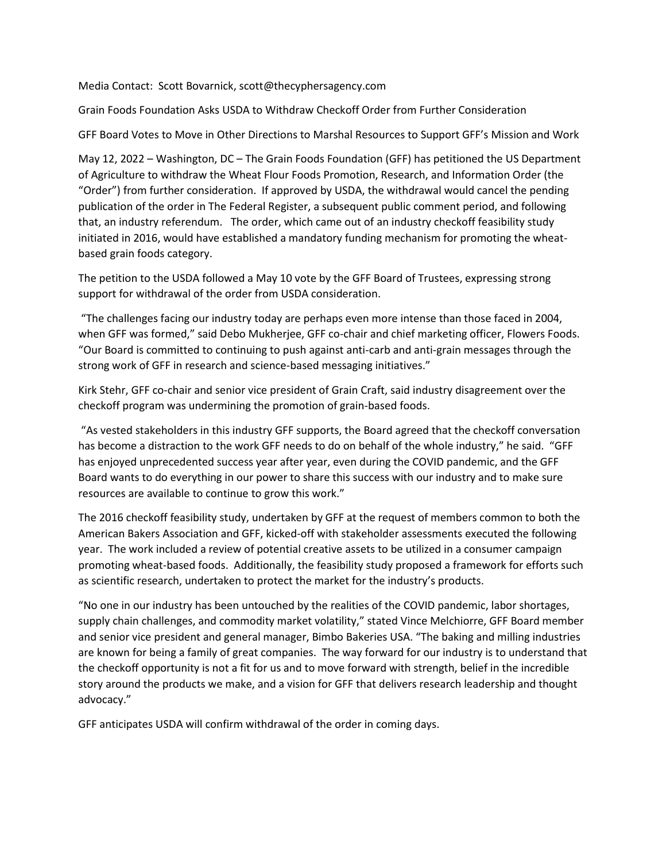Media Contact: Scott Bovarnick, scott@thecyphersagency.com

Grain Foods Foundation Asks USDA to Withdraw Checkoff Order from Further Consideration

GFF Board Votes to Move in Other Directions to Marshal Resources to Support GFF's Mission and Work

May 12, 2022 – Washington, DC – The Grain Foods Foundation (GFF) has petitioned the US Department of Agriculture to withdraw the Wheat Flour Foods Promotion, Research, and Information Order (the "Order") from further consideration. If approved by USDA, the withdrawal would cancel the pending publication of the order in The Federal Register, a subsequent public comment period, and following that, an industry referendum. The order, which came out of an industry checkoff feasibility study initiated in 2016, would have established a mandatory funding mechanism for promoting the wheatbased grain foods category.

The petition to the USDA followed a May 10 vote by the GFF Board of Trustees, expressing strong support for withdrawal of the order from USDA consideration.

"The challenges facing our industry today are perhaps even more intense than those faced in 2004, when GFF was formed," said Debo Mukherjee, GFF co-chair and chief marketing officer, Flowers Foods. "Our Board is committed to continuing to push against anti-carb and anti-grain messages through the strong work of GFF in research and science-based messaging initiatives."

Kirk Stehr, GFF co-chair and senior vice president of Grain Craft, said industry disagreement over the checkoff program was undermining the promotion of grain-based foods.

"As vested stakeholders in this industry GFF supports, the Board agreed that the checkoff conversation has become a distraction to the work GFF needs to do on behalf of the whole industry," he said. "GFF has enjoyed unprecedented success year after year, even during the COVID pandemic, and the GFF Board wants to do everything in our power to share this success with our industry and to make sure resources are available to continue to grow this work."

The 2016 checkoff feasibility study, undertaken by GFF at the request of members common to both the American Bakers Association and GFF, kicked-off with stakeholder assessments executed the following year. The work included a review of potential creative assets to be utilized in a consumer campaign promoting wheat-based foods. Additionally, the feasibility study proposed a framework for efforts such as scientific research, undertaken to protect the market for the industry's products.

"No one in our industry has been untouched by the realities of the COVID pandemic, labor shortages, supply chain challenges, and commodity market volatility," stated Vince Melchiorre, GFF Board member and senior vice president and general manager, Bimbo Bakeries USA. "The baking and milling industries are known for being a family of great companies. The way forward for our industry is to understand that the checkoff opportunity is not a fit for us and to move forward with strength, belief in the incredible story around the products we make, and a vision for GFF that delivers research leadership and thought advocacy."

GFF anticipates USDA will confirm withdrawal of the order in coming days.